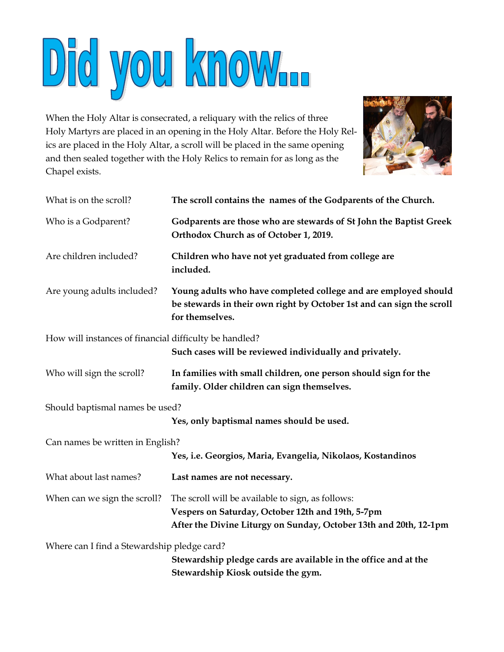

When the Holy Altar is consecrated, a reliquary with the relics of three Holy Martyrs are placed in an opening in the Holy Altar. Before the Holy Relics are placed in the Holy Altar, a scroll will be placed in the same opening and then sealed together with the Holy Relics to remain for as long as the Chapel exists.



| What is on the scroll?                                 | The scroll contains the names of the Godparents of the Church.                                                                                                              |
|--------------------------------------------------------|-----------------------------------------------------------------------------------------------------------------------------------------------------------------------------|
| Who is a Godparent?                                    | Godparents are those who are stewards of St John the Baptist Greek<br>Orthodox Church as of October 1, 2019.                                                                |
| Are children included?                                 | Children who have not yet graduated from college are<br>included.                                                                                                           |
| Are young adults included?                             | Young adults who have completed college and are employed should<br>be stewards in their own right by October 1st and can sign the scroll<br>for themselves.                 |
| How will instances of financial difficulty be handled? | Such cases will be reviewed individually and privately.                                                                                                                     |
| Who will sign the scroll?                              | In families with small children, one person should sign for the<br>family. Older children can sign themselves.                                                              |
| Should baptismal names be used?                        | Yes, only baptismal names should be used.                                                                                                                                   |
| Can names be written in English?                       | Yes, i.e. Georgios, Maria, Evangelia, Nikolaos, Kostandinos                                                                                                                 |
| What about last names?                                 | Last names are not necessary.                                                                                                                                               |
| When can we sign the scroll?                           | The scroll will be available to sign, as follows:<br>Vespers on Saturday, October 12th and 19th, 5-7pm<br>After the Divine Liturgy on Sunday, October 13th and 20th, 12-1pm |
| Where can I find a Stewardship pledge card?            | Stewardship pledge cards are available in the office and at the<br>Stewardship Kiosk outside the gym.                                                                       |